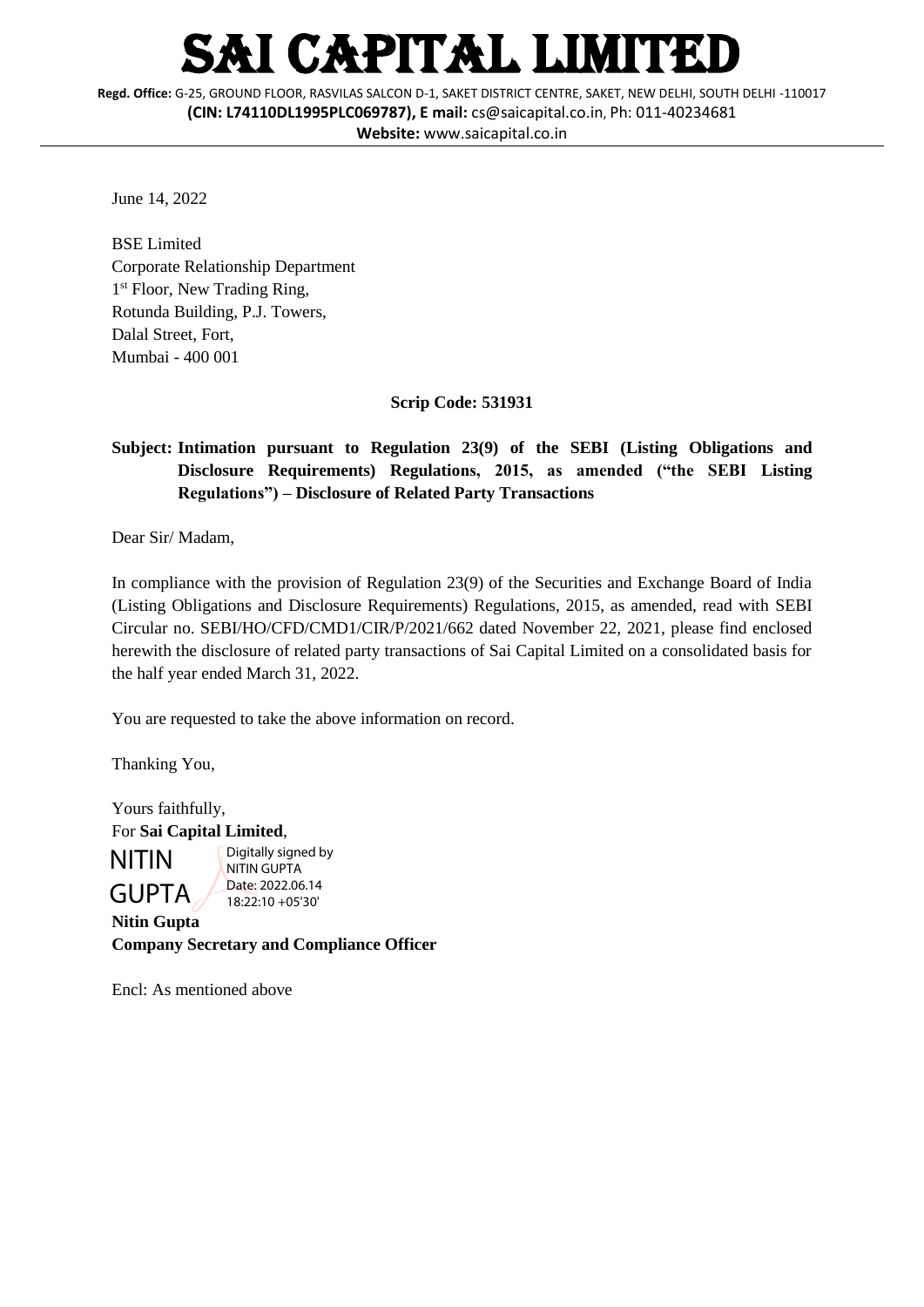## I CAPITAL LIMITED

**Regd. Office:** G-25, GROUND FLOOR, RASVILAS SALCON D-1, SAKET DISTRICT CENTRE, SAKET, NEW DELHI, SOUTH DELHI -110017 **(CIN: L74110DL1995PLC069787), E mail:** [cs@saicapital.co.in](mailto:cs@saicapital.co.in), Ph: 011-40234681 **Website:** www.saicapital.co.in

June 14, 2022

BSE Limited Corporate Relationship Department 1<sup>st</sup> Floor, New Trading Ring, Rotunda Building, P.J. Towers, Dalal Street, Fort, Mumbai - 400 001

**Scrip Code: 531931**

## **Subject: Intimation pursuant to Regulation 23(9) of the SEBI (Listing Obligations and Disclosure Requirements) Regulations, 2015, as amended ("the SEBI Listing Regulations") – Disclosure of Related Party Transactions**

Dear Sir/ Madam,

In compliance with the provision of Regulation 23(9) of the Securities and Exchange Board of India (Listing Obligations and Disclosure Requirements) Regulations, 2015, as amended, read with SEBI Circular no. SEBI/HO/CFD/CMD1/CIR/P/2021/662 dated November 22, 2021, please find enclosed herewith the disclosure of related party transactions of Sai Capital Limited on a consolidated basis for the half year ended March 31, 2022.

You are requested to take the above information on record.

Thanking You,

Yours faithfully, For **Sai Capital Limited**, NITIN GUPTA Digitally signed by NITIN GUPTA Date: 2022.06.14 18:22:10 +05'30'

**Nitin Gupta Company Secretary and Compliance Officer**

Encl: As mentioned above